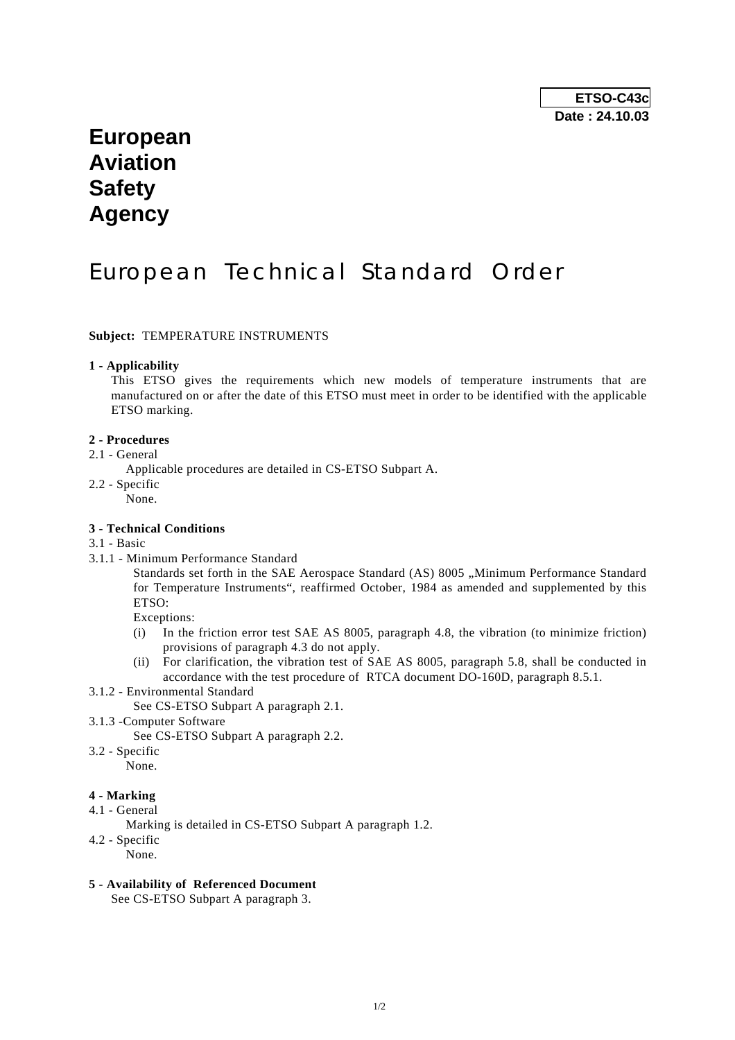# **European Aviation Safety Agency**

# European Technical Standard Order

### **Subject:** TEMPERATURE INSTRUMENTS

#### **1 - Applicability**

 This ETSO gives the requirements which new models of temperature instruments that are manufactured on or after the date of this ETSO must meet in order to be identified with the applicable ETSO marking.

## **2 - Procedures**

- 2.1 General
	- Applicable procedures are detailed in CS-ETSO Subpart A.
- 2.2 Specific

None.

# **3 - Technical Conditions**

#### 3.1 - Basic

3.1.1 - Minimum Performance Standard

Standards set forth in the SAE Aerospace Standard (AS) 8005 "Minimum Performance Standard for Temperature Instruments", reaffirmed October, 1984 as amended and supplemented by this ETSO:

Exceptions:

- (i) In the friction error test SAE AS 8005, paragraph 4.8, the vibration (to minimize friction) provisions of paragraph 4.3 do not apply.
- (ii) For clarification, the vibration test of SAE AS 8005, paragraph 5.8, shall be conducted in accordance with the test procedure of RTCA document DO-160D, paragraph 8.5.1.
- 3.1.2 Environmental Standard

See CS-ETSO Subpart A paragraph 2.1.

3.1.3 -Computer Software

See CS-ETSO Subpart A paragraph 2.2.

3.2 - Specific

None.

# **4 - Marking**

- 4.1 General
	- Marking is detailed in CS-ETSO Subpart A paragraph 1.2.
- 4.2 Specific

None.

### **5 - Availability of Referenced Document**

See CS-ETSO Subpart A paragraph 3.